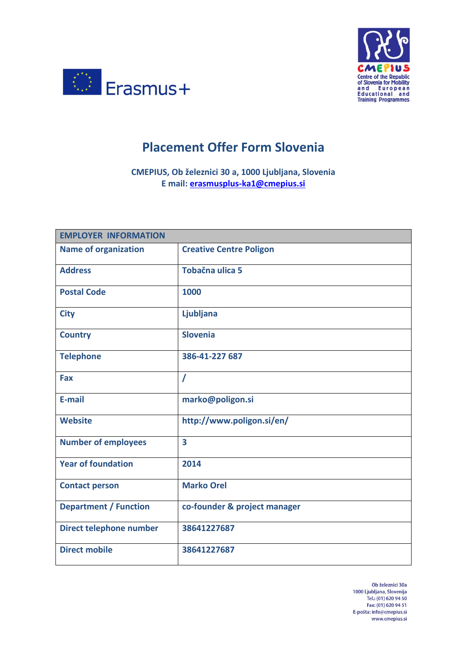



## **Placement Offer Form Slovenia**

**CMEPIUS, Ob železnici 30 a, 1000 Ljubljana, Slovenia E mail: [erasmusplus-ka1@cmepius.si](mailto:erasmusplus-ka1@cmepius.si)**

| <b>EMPLOYER INFORMATION</b>  |                                |
|------------------------------|--------------------------------|
| <b>Name of organization</b>  | <b>Creative Centre Poligon</b> |
| <b>Address</b>               | Tobačna ulica 5                |
| <b>Postal Code</b>           | 1000                           |
| <b>City</b>                  | Ljubljana                      |
| <b>Country</b>               | <b>Slovenia</b>                |
| <b>Telephone</b>             | 386-41-227 687                 |
| Fax                          | 7                              |
| E-mail                       | marko@poligon.si               |
| <b>Website</b>               | http://www.poligon.si/en/      |
| <b>Number of employees</b>   | 3                              |
| <b>Year of foundation</b>    | 2014                           |
| <b>Contact person</b>        | <b>Marko Orel</b>              |
| <b>Department / Function</b> | co-founder & project manager   |
| Direct telephone number      | 38641227687                    |
| <b>Direct mobile</b>         | 38641227687                    |

Ob železnici 30a 1000 Ljubljana, Slovenija<br>Tel.: (01) 620 94 50 Fax: (01) 620 94 50 E-pošta: info@cmepius.si www.cmepius.si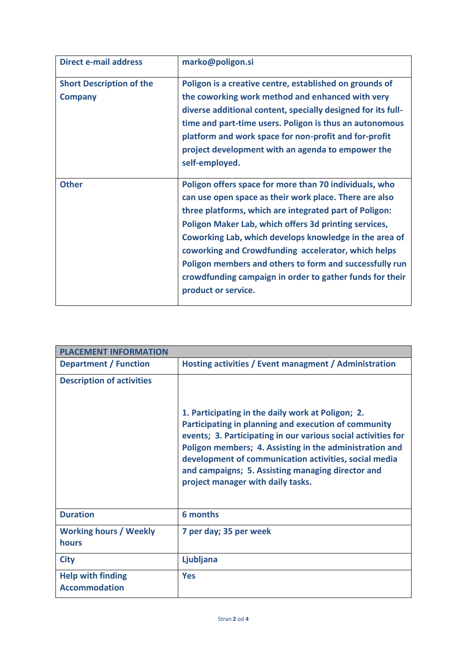| <b>Direct e-mail address</b>                      | marko@poligon.si                                                                                                                                                                                                                                                                                                                                                                                                                                                                                   |
|---------------------------------------------------|----------------------------------------------------------------------------------------------------------------------------------------------------------------------------------------------------------------------------------------------------------------------------------------------------------------------------------------------------------------------------------------------------------------------------------------------------------------------------------------------------|
| <b>Short Description of the</b><br><b>Company</b> | Poligon is a creative centre, established on grounds of<br>the coworking work method and enhanced with very<br>diverse additional content, specially designed for its full-<br>time and part-time users. Poligon is thus an autonomous<br>platform and work space for non-profit and for-profit<br>project development with an agenda to empower the<br>self-employed.                                                                                                                             |
| <b>Other</b>                                      | Poligon offers space for more than 70 individuals, who<br>can use open space as their work place. There are also<br>three platforms, which are integrated part of Poligon:<br>Poligon Maker Lab, which offers 3d printing services,<br>Coworking Lab, which develops knowledge in the area of<br>coworking and Crowdfunding accelerator, which helps<br>Poligon members and others to form and successfully run<br>crowdfunding campaign in order to gather funds for their<br>product or service. |

| <b>PLACEMENT INFORMATION</b>                     |                                                                                                                                                                                                                                                                                                                                                                                          |
|--------------------------------------------------|------------------------------------------------------------------------------------------------------------------------------------------------------------------------------------------------------------------------------------------------------------------------------------------------------------------------------------------------------------------------------------------|
| <b>Department / Function</b>                     | Hosting activities / Event managment / Administration                                                                                                                                                                                                                                                                                                                                    |
| <b>Description of activities</b>                 | 1. Participating in the daily work at Poligon; 2.<br>Participating in planning and execution of community<br>events; 3. Participating in our various social activities for<br>Poligon members; 4. Assisting in the administration and<br>development of communication activities, social media<br>and campaigns; 5. Assisting managing director and<br>project manager with daily tasks. |
| <b>Duration</b>                                  | 6 months                                                                                                                                                                                                                                                                                                                                                                                 |
| <b>Working hours / Weekly</b><br>hours           | 7 per day; 35 per week                                                                                                                                                                                                                                                                                                                                                                   |
| <b>City</b>                                      | Ljubljana                                                                                                                                                                                                                                                                                                                                                                                |
| <b>Help with finding</b><br><b>Accommodation</b> | <b>Yes</b>                                                                                                                                                                                                                                                                                                                                                                               |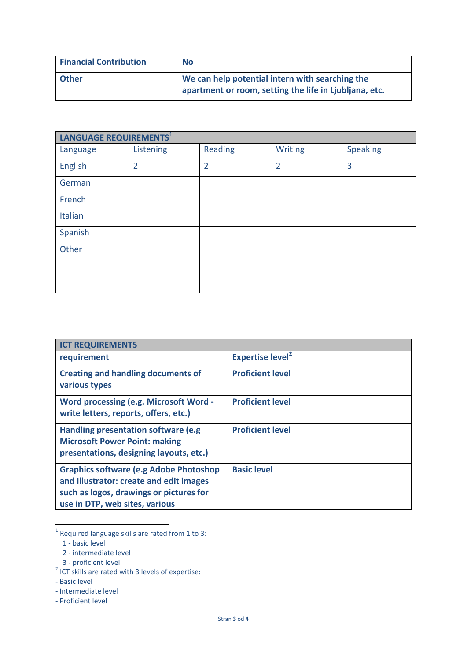| <b>Financial Contribution</b> | <b>No</b>                                                                                                 |
|-------------------------------|-----------------------------------------------------------------------------------------------------------|
| <b>Other</b>                  | We can help potential intern with searching the<br>apartment or room, setting the life in Ljubljana, etc. |

| LANGUAGE REQUIREMENTS1 |                |                |                |                 |
|------------------------|----------------|----------------|----------------|-----------------|
| Language               | Listening      | Reading        | Writing        | <b>Speaking</b> |
| English                | $\overline{2}$ | $\overline{2}$ | $\overline{2}$ | 3               |
| German                 |                |                |                |                 |
| French                 |                |                |                |                 |
| Italian                |                |                |                |                 |
| Spanish                |                |                |                |                 |
| Other                  |                |                |                |                 |
|                        |                |                |                |                 |
|                        |                |                |                |                 |

| <b>ICT REQUIREMENTS</b>                                                                                                                                               |                                    |
|-----------------------------------------------------------------------------------------------------------------------------------------------------------------------|------------------------------------|
| requirement                                                                                                                                                           | <b>Expertise level<sup>2</sup></b> |
| <b>Creating and handling documents of</b><br>various types                                                                                                            | <b>Proficient level</b>            |
| Word processing (e.g. Microsoft Word -<br>write letters, reports, offers, etc.)                                                                                       | <b>Proficient level</b>            |
| Handling presentation software (e.g<br><b>Microsoft Power Point: making</b><br>presentations, designing layouts, etc.)                                                | <b>Proficient level</b>            |
| <b>Graphics software (e.g Adobe Photoshop</b><br>and Illustrator: create and edit images<br>such as logos, drawings or pictures for<br>use in DTP, web sites, various | <b>Basic level</b>                 |

**The set of the set of the set of the set of the set of the set of the set of the set of the set of the set of t**<br>In Required language skills are rated from 1 to 3:

- 2 intermediate level
- 
- 3 proficient level 2 ICT skills are rated with 3 levels of expertise:
- Basic level
- Intermediate level
- Proficient level

 <sup>1 -</sup> basic level